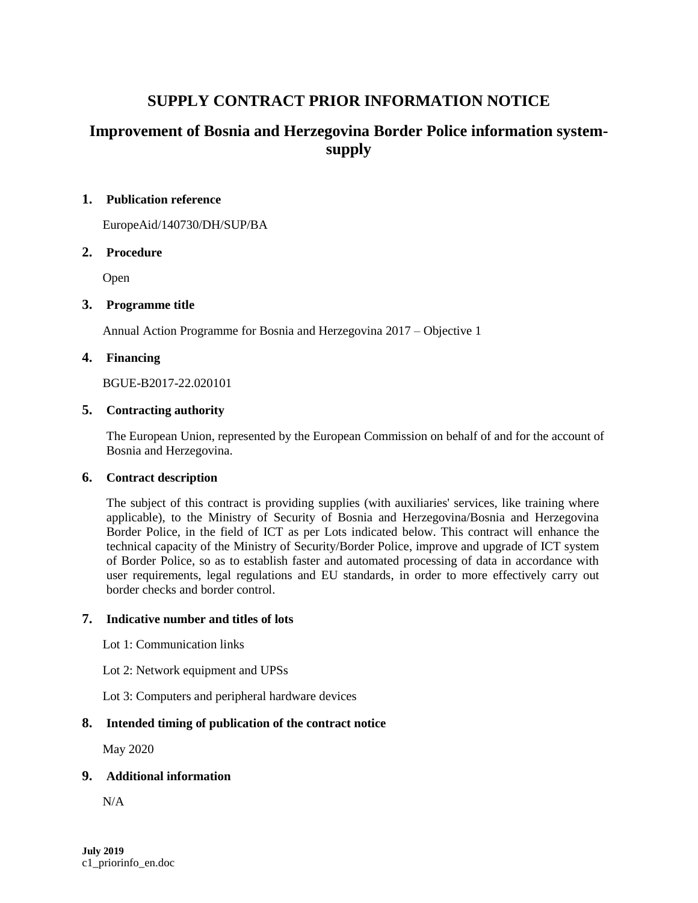# **SUPPLY CONTRACT PRIOR INFORMATION NOTICE**

# **Improvement of Bosnia and Herzegovina Border Police information systemsupply**

### **1. Publication reference**

EuropeAid/140730/DH/SUP/BA

# **2. Procedure**

Open

# **3. Programme title**

Annual Action Programme for Bosnia and Herzegovina 2017 – Objective 1

## **4. Financing**

BGUE-B2017-22.020101

## **5. Contracting authority**

The European Union, represented by the European Commission on behalf of and for the account of Bosnia and Herzegovina.

# **6. Contract description**

The subject of this contract is providing supplies (with auxiliaries' services, like training where applicable), to the Ministry of Security of Bosnia and Herzegovina/Bosnia and Herzegovina Border Police, in the field of ICT as per Lots indicated below. This contract will enhance the technical capacity of the Ministry of Security/Border Police, improve and upgrade of ICT system of Border Police, so as to establish faster and automated processing of data in accordance with user requirements, legal regulations and EU standards, in order to more effectively carry out border checks and border control.

### **7. Indicative number and titles of lots**

Lot 1: Communication links

Lot 2: Network equipment and UPSs

Lot 3: Computers and peripheral hardware devices

# **8. Intended timing of publication of the contract notice**

May 2020

#### **9. Additional information**

N/A